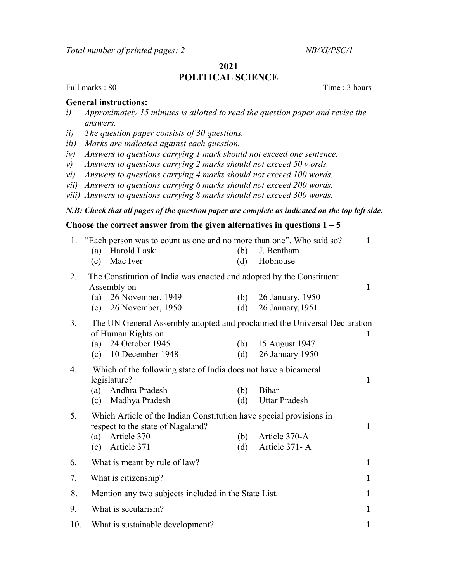Total number of printed pages: 2 NB/XI/PSC/1

## 2021

## POLITICAL SCIENCE

Full marks : 80 Time : 3 hours

## General instructions:

- i) Approximately 15 minutes is allotted to read the question paper and revise the answers.
- ii) The question paper consists of 30 questions.
- iii) Marks are indicated against each question.
- iv) Answers to questions carrying 1 mark should not exceed one sentence.
- v) Answers to questions carrying 2 marks should not exceed 50 words.
- vi) Answers to questions carrying 4 marks should not exceed 100 words.
- vii) Answers to questions carrying 6 marks should not exceed 200 words.
- viii) Answers to questions carrying 8 marks should not exceed 300 words.

N.B: Check that all pages of the question paper are complete as indicated on the top left side.

## Choose the correct answer from the given alternatives in questions  $1 - 5$

| 1.  | "Each person was to count as one and no more than one". Who said so?<br>Harold Laski<br>(a)              | (b) | J. Bentham           | $\mathbf{1}$ |
|-----|----------------------------------------------------------------------------------------------------------|-----|----------------------|--------------|
|     | Mac Iver<br>(c)                                                                                          | (d) | Hobhouse             |              |
| 2.  | The Constitution of India was enacted and adopted by the Constituent<br>Assembly on                      |     |                      |              |
|     | 26 November, 1949<br>(a)                                                                                 | (b) | 26 January, 1950     |              |
|     | 26 November, 1950<br>(c)                                                                                 | (d) | 26 January, 1951     |              |
| 3.  | The UN General Assembly adopted and proclaimed the Universal Declaration<br>of Human Rights on           |     |                      | 1            |
|     | 24 October 1945<br>(a)                                                                                   | (b) | 15 August 1947       |              |
|     | 10 December 1948<br>(c)                                                                                  | (d) | 26 January 1950      |              |
| 4.  | Which of the following state of India does not have a bicameral<br>legislature?                          |     |                      |              |
|     | Andhra Pradesh<br>(a)                                                                                    | (b) | Bihar                |              |
|     | Madhya Pradesh<br>(c)                                                                                    | (d) | <b>Uttar Pradesh</b> |              |
| 5.  | Which Article of the Indian Constitution have special provisions in<br>respect to the state of Nagaland? |     |                      |              |
|     | (a) Article 370                                                                                          | (b) | Article 370-A        | $\mathbf{1}$ |
|     | Article 371<br>(c)                                                                                       | (d) | Article 371-A        |              |
| 6.  | What is meant by rule of law?                                                                            |     |                      | $\mathbf{1}$ |
| 7.  | What is citizenship?                                                                                     |     |                      | 1            |
| 8.  | Mention any two subjects included in the State List.                                                     |     |                      | $\mathbf{1}$ |
| 9.  | What is secularism?                                                                                      |     |                      | $\mathbf{1}$ |
| 10. | What is sustainable development?                                                                         |     |                      | 1            |